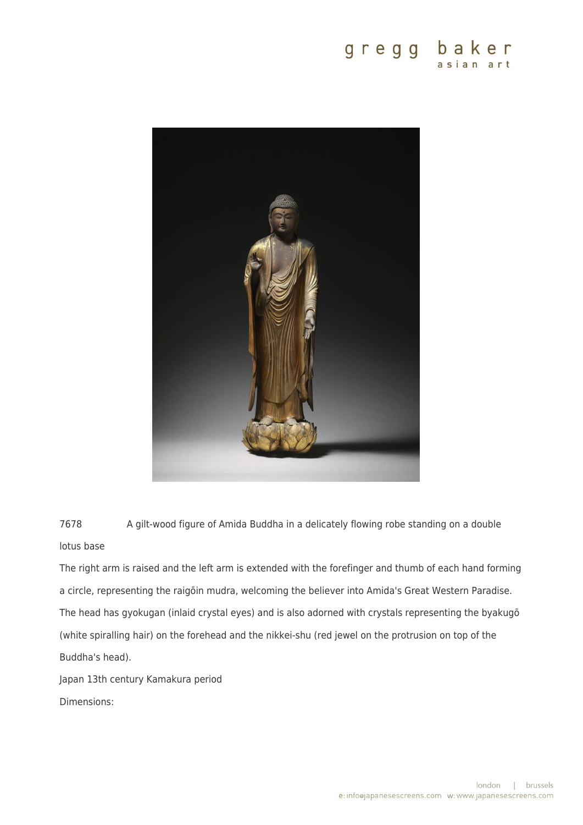



7678 A gilt-wood figure of Amida Buddha in a delicately flowing robe standing on a double lotus base

The right arm is raised and the left arm is extended with the forefinger and thumb of each hand forming a circle, representing the raigōin mudra, welcoming the believer into Amida's Great Western Paradise. The head has gyokugan (inlaid crystal eyes) and is also adorned with crystals representing the byakugō (white spiralling hair) on the forehead and the nikkei-shu (red jewel on the protrusion on top of the Buddha's head).

Japan 13th century Kamakura period

Dimensions: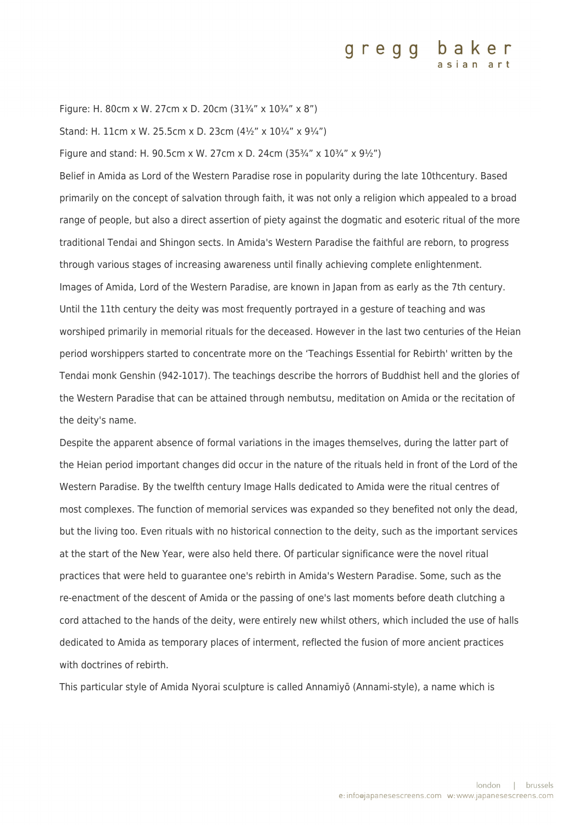Figure: H. 80cm x W. 27cm x D. 20cm (31¾" x 10¾" x 8")

Stand: H. 11cm x W. 25.5cm x D. 23cm (4½" x 10¼" x 9¼")

Figure and stand: H. 90.5cm x W. 27cm x D. 24cm (35 $\frac{3}{4}$ " x 10 $\frac{3}{4}$ " x 9 $\frac{1}{2}$ ")

Belief in Amida as Lord of the Western Paradise rose in popularity during the late 10thcentury. Based primarily on the concept of salvation through faith, it was not only a religion which appealed to a broad range of people, but also a direct assertion of piety against the dogmatic and esoteric ritual of the more traditional Tendai and Shingon sects. In Amida's Western Paradise the faithful are reborn, to progress through various stages of increasing awareness until finally achieving complete enlightenment. Images of Amida, Lord of the Western Paradise, are known in Japan from as early as the 7th century. Until the 11th century the deity was most frequently portrayed in a gesture of teaching and was worshiped primarily in memorial rituals for the deceased. However in the last two centuries of the Heian period worshippers started to concentrate more on the 'Teachings Essential for Rebirth' written by the Tendai monk Genshin (942-1017). The teachings describe the horrors of Buddhist hell and the glories of the Western Paradise that can be attained through nembutsu, meditation on Amida or the recitation of the deity's name.

Despite the apparent absence of formal variations in the images themselves, during the latter part of the Heian period important changes did occur in the nature of the rituals held in front of the Lord of the Western Paradise. By the twelfth century Image Halls dedicated to Amida were the ritual centres of most complexes. The function of memorial services was expanded so they benefited not only the dead, but the living too. Even rituals with no historical connection to the deity, such as the important services at the start of the New Year, were also held there. Of particular significance were the novel ritual practices that were held to guarantee one's rebirth in Amida's Western Paradise. Some, such as the re-enactment of the descent of Amida or the passing of one's last moments before death clutching a cord attached to the hands of the deity, were entirely new whilst others, which included the use of halls dedicated to Amida as temporary places of interment, reflected the fusion of more ancient practices with doctrines of rebirth.

This particular style of Amida Nyorai sculpture is called Annamiyō (Annami-style), a name which is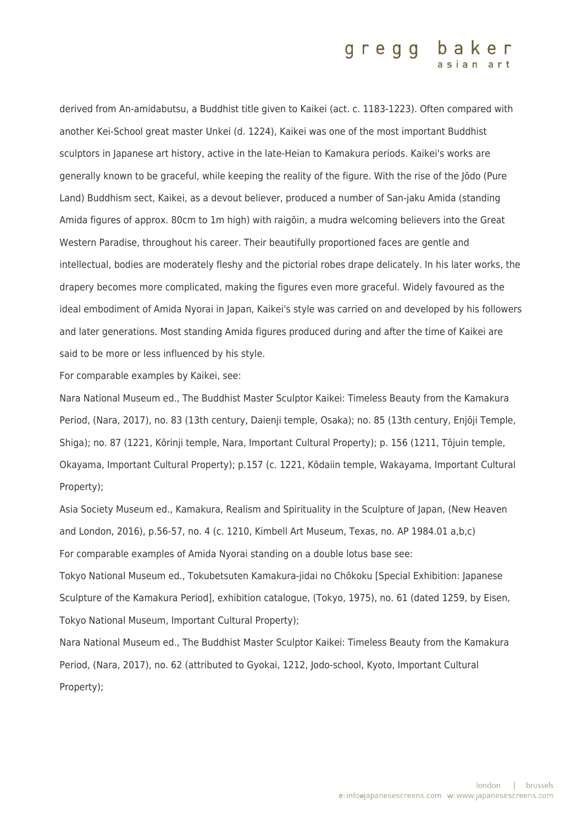derived from An-amidabutsu, a Buddhist title given to Kaikei (act. c. 1183-1223). Often compared with another Kei-School great master Unkei (d. 1224), Kaikei was one of the most important Buddhist sculptors in Japanese art history, active in the late-Heian to Kamakura periods. Kaikei's works are generally known to be graceful, while keeping the reality of the figure. With the rise of the Jōdo (Pure Land) Buddhism sect, Kaikei, as a devout believer, produced a number of San-jaku Amida (standing Amida figures of approx. 80cm to 1m high) with raigōin, a mudra welcoming believers into the Great Western Paradise, throughout his career. Their beautifully proportioned faces are gentle and intellectual, bodies are moderately fleshy and the pictorial robes drape delicately. In his later works, the drapery becomes more complicated, making the figures even more graceful. Widely favoured as the ideal embodiment of Amida Nyorai in Japan, Kaikei's style was carried on and developed by his followers and later generations. Most standing Amida figures produced during and after the time of Kaikei are said to be more or less influenced by his style.

For comparable examples by Kaikei, see:

Nara National Museum ed., The Buddhist Master Sculptor Kaikei: Timeless Beauty from the Kamakura Period, (Nara, 2017), no. 83 (13th century, Daienji temple, Osaka); no. 85 (13th century, Enjōji Temple, Shiga); no. 87 (1221, Kōrinji temple, Nara, Important Cultural Property); p. 156 (1211, Tōjuin temple, Okayama, Important Cultural Property); p.157 (c. 1221, Kōdaiin temple, Wakayama, Important Cultural Property);

Asia Society Museum ed., Kamakura, Realism and Spirituality in the Sculpture of Japan, (New Heaven and London, 2016), p.56-57, no. 4 (c. 1210, Kimbell Art Museum, Texas, no. AP 1984.01 a,b,c) For comparable examples of Amida Nyorai standing on a double lotus base see:

Tokyo National Museum ed., Tokubetsuten Kamakura-jidai no Chōkoku [Special Exhibition: Japanese Sculpture of the Kamakura Period], exhibition catalogue, (Tokyo, 1975), no. 61 (dated 1259, by Eisen, Tokyo National Museum, Important Cultural Property);

Nara National Museum ed., The Buddhist Master Sculptor Kaikei: Timeless Beauty from the Kamakura Period, (Nara, 2017), no. 62 (attributed to Gyokai, 1212, Jodo-school, Kyoto, Important Cultural Property);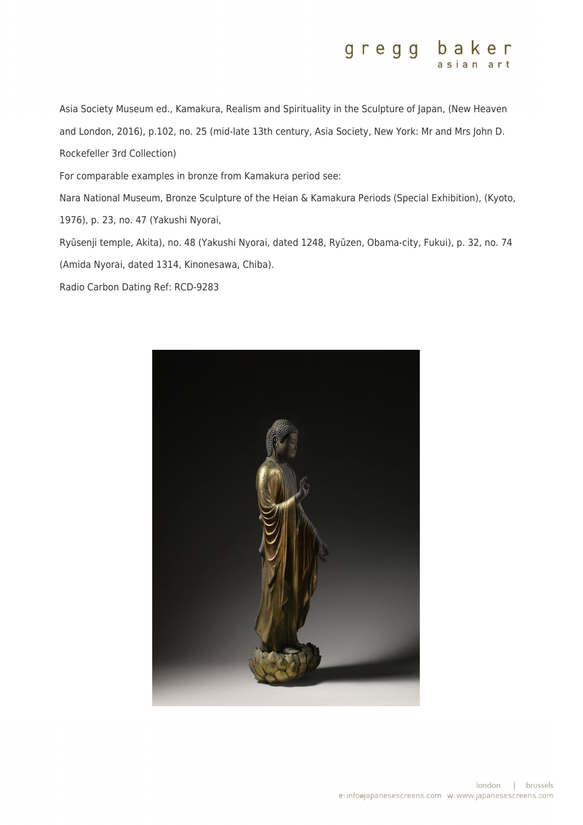#### gregg baker asian art

Asia Society Museum ed., Kamakura, Realism and Spirituality in the Sculpture of Japan, (New Heaven and London, 2016), p.102, no. 25 (mid-late 13th century, Asia Society, New York: Mr and Mrs John D. Rockefeller 3rd Collection) For comparable examples in bronze from Kamakura period see:

Nara National Museum, Bronze Sculpture of the Heian & Kamakura Periods (Special Exhibition), (Kyoto, 1976), p. 23, no. 47 (Yakushi Nyorai,

Ryūsenji temple, Akita), no. 48 (Yakushi Nyorai, dated 1248, Ryūzen, Obama-city, Fukui), p. 32, no. 74 (Amida Nyorai, dated 1314, Kinonesawa, Chiba).

Radio Carbon Dating Ref: RCD-9283

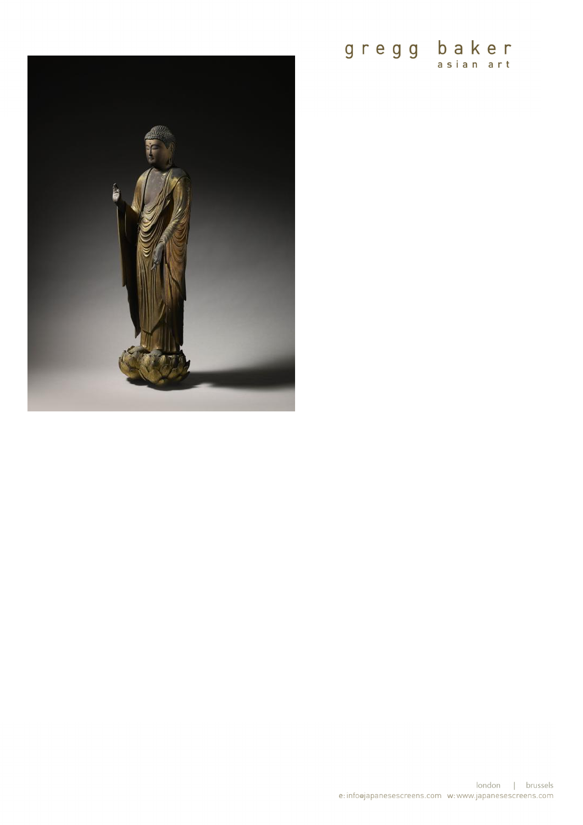